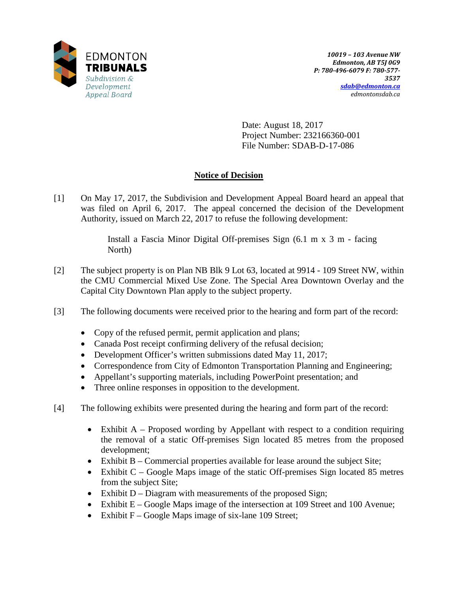

Date: August 18, 2017 Project Number: 232166360-001 File Number: SDAB-D-17-086

# **Notice of Decision**

[1] On May 17, 2017, the Subdivision and Development Appeal Board heard an appeal that was filed on April 6, 2017. The appeal concerned the decision of the Development Authority, issued on March 22, 2017 to refuse the following development:

> Install a Fascia Minor Digital Off-premises Sign (6.1 m x 3 m - facing North)

- [2] The subject property is on Plan NB Blk 9 Lot 63, located at 9914 109 Street NW, within the CMU Commercial Mixed Use Zone. The Special Area Downtown Overlay and the Capital City Downtown Plan apply to the subject property.
- [3] The following documents were received prior to the hearing and form part of the record:
	- Copy of the refused permit, permit application and plans;
	- Canada Post receipt confirming delivery of the refusal decision;
	- Development Officer's written submissions dated May 11, 2017;
	- Correspondence from City of Edmonton Transportation Planning and Engineering;
	- Appellant's supporting materials, including PowerPoint presentation; and
	- Three online responses in opposition to the development.
- [4] The following exhibits were presented during the hearing and form part of the record:
	- Exhibit A Proposed wording by Appellant with respect to a condition requiring the removal of a static Off-premises Sign located 85 metres from the proposed development;
	- Exhibit B Commercial properties available for lease around the subject Site;
	- Exhibit C Google Maps image of the static Off-premises Sign located 85 metres from the subject Site;
	- Exhibit D Diagram with measurements of the proposed Sign;
	- Exhibit E Google Maps image of the intersection at 109 Street and 100 Avenue;
	- Exhibit  $F Google Maps$  image of six-lane 109 Street;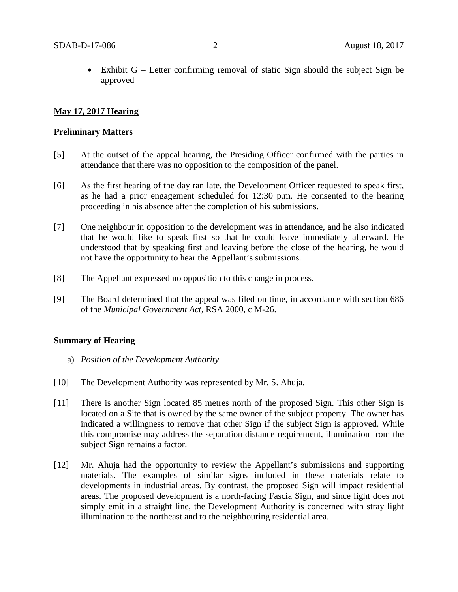Exhibit  $G$  – Letter confirming removal of static Sign should the subject Sign be approved

# **May 17, 2017 Hearing**

#### **Preliminary Matters**

- [5] At the outset of the appeal hearing, the Presiding Officer confirmed with the parties in attendance that there was no opposition to the composition of the panel.
- [6] As the first hearing of the day ran late, the Development Officer requested to speak first, as he had a prior engagement scheduled for 12:30 p.m. He consented to the hearing proceeding in his absence after the completion of his submissions.
- [7] One neighbour in opposition to the development was in attendance, and he also indicated that he would like to speak first so that he could leave immediately afterward. He understood that by speaking first and leaving before the close of the hearing, he would not have the opportunity to hear the Appellant's submissions.
- [8] The Appellant expressed no opposition to this change in process.
- [9] The Board determined that the appeal was filed on time, in accordance with section 686 of the *Municipal Government Act*, RSA 2000, c M-26.

#### **Summary of Hearing**

- a) *Position of the Development Authority*
- [10] The Development Authority was represented by Mr. S. Ahuja.
- [11] There is another Sign located 85 metres north of the proposed Sign. This other Sign is located on a Site that is owned by the same owner of the subject property. The owner has indicated a willingness to remove that other Sign if the subject Sign is approved. While this compromise may address the separation distance requirement, illumination from the subject Sign remains a factor.
- [12] Mr. Ahuja had the opportunity to review the Appellant's submissions and supporting materials. The examples of similar signs included in these materials relate to developments in industrial areas. By contrast, the proposed Sign will impact residential areas. The proposed development is a north-facing Fascia Sign, and since light does not simply emit in a straight line, the Development Authority is concerned with stray light illumination to the northeast and to the neighbouring residential area.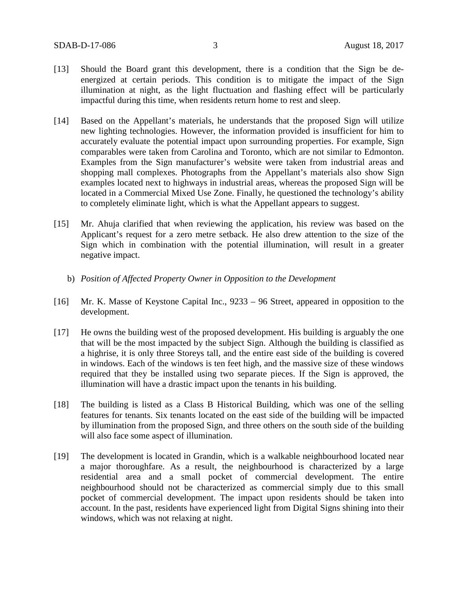- [13] Should the Board grant this development, there is a condition that the Sign be deenergized at certain periods. This condition is to mitigate the impact of the Sign illumination at night, as the light fluctuation and flashing effect will be particularly impactful during this time, when residents return home to rest and sleep.
- [14] Based on the Appellant's materials, he understands that the proposed Sign will utilize new lighting technologies. However, the information provided is insufficient for him to accurately evaluate the potential impact upon surrounding properties. For example, Sign comparables were taken from Carolina and Toronto, which are not similar to Edmonton. Examples from the Sign manufacturer's website were taken from industrial areas and shopping mall complexes. Photographs from the Appellant's materials also show Sign examples located next to highways in industrial areas, whereas the proposed Sign will be located in a Commercial Mixed Use Zone. Finally, he questioned the technology's ability to completely eliminate light, which is what the Appellant appears to suggest.
- [15] Mr. Ahuja clarified that when reviewing the application, his review was based on the Applicant's request for a zero metre setback. He also drew attention to the size of the Sign which in combination with the potential illumination, will result in a greater negative impact.
	- b) *Position of Affected Property Owner in Opposition to the Development*
- [16] Mr. K. Masse of Keystone Capital Inc., 9233 96 Street, appeared in opposition to the development.
- [17] He owns the building west of the proposed development. His building is arguably the one that will be the most impacted by the subject Sign. Although the building is classified as a highrise, it is only three Storeys tall, and the entire east side of the building is covered in windows. Each of the windows is ten feet high, and the massive size of these windows required that they be installed using two separate pieces. If the Sign is approved, the illumination will have a drastic impact upon the tenants in his building.
- [18] The building is listed as a Class B Historical Building, which was one of the selling features for tenants. Six tenants located on the east side of the building will be impacted by illumination from the proposed Sign, and three others on the south side of the building will also face some aspect of illumination.
- [19] The development is located in Grandin, which is a walkable neighbourhood located near a major thoroughfare. As a result, the neighbourhood is characterized by a large residential area and a small pocket of commercial development. The entire neighbourhood should not be characterized as commercial simply due to this small pocket of commercial development. The impact upon residents should be taken into account. In the past, residents have experienced light from Digital Signs shining into their windows, which was not relaxing at night.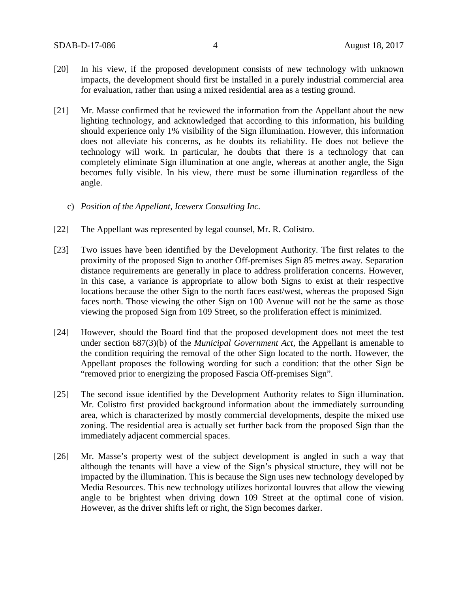- [20] In his view, if the proposed development consists of new technology with unknown impacts, the development should first be installed in a purely industrial commercial area for evaluation, rather than using a mixed residential area as a testing ground.
- [21] Mr. Masse confirmed that he reviewed the information from the Appellant about the new lighting technology, and acknowledged that according to this information, his building should experience only 1% visibility of the Sign illumination. However, this information does not alleviate his concerns, as he doubts its reliability. He does not believe the technology will work. In particular, he doubts that there is a technology that can completely eliminate Sign illumination at one angle, whereas at another angle, the Sign becomes fully visible. In his view, there must be some illumination regardless of the angle.
	- c) *Position of the Appellant, Icewerx Consulting Inc.*
- [22] The Appellant was represented by legal counsel, Mr. R. Colistro.
- [23] Two issues have been identified by the Development Authority. The first relates to the proximity of the proposed Sign to another Off-premises Sign 85 metres away. Separation distance requirements are generally in place to address proliferation concerns. However, in this case, a variance is appropriate to allow both Signs to exist at their respective locations because the other Sign to the north faces east/west, whereas the proposed Sign faces north. Those viewing the other Sign on 100 Avenue will not be the same as those viewing the proposed Sign from 109 Street, so the proliferation effect is minimized.
- [24] However, should the Board find that the proposed development does not meet the test under section 687(3)(b) of the *Municipal Government Act,* the Appellant is amenable to the condition requiring the removal of the other Sign located to the north. However, the Appellant proposes the following wording for such a condition: that the other Sign be "removed prior to energizing the proposed Fascia Off-premises Sign".
- [25] The second issue identified by the Development Authority relates to Sign illumination. Mr. Colistro first provided background information about the immediately surrounding area, which is characterized by mostly commercial developments, despite the mixed use zoning. The residential area is actually set further back from the proposed Sign than the immediately adjacent commercial spaces.
- [26] Mr. Masse's property west of the subject development is angled in such a way that although the tenants will have a view of the Sign's physical structure, they will not be impacted by the illumination. This is because the Sign uses new technology developed by Media Resources. This new technology utilizes horizontal louvres that allow the viewing angle to be brightest when driving down 109 Street at the optimal cone of vision. However, as the driver shifts left or right, the Sign becomes darker.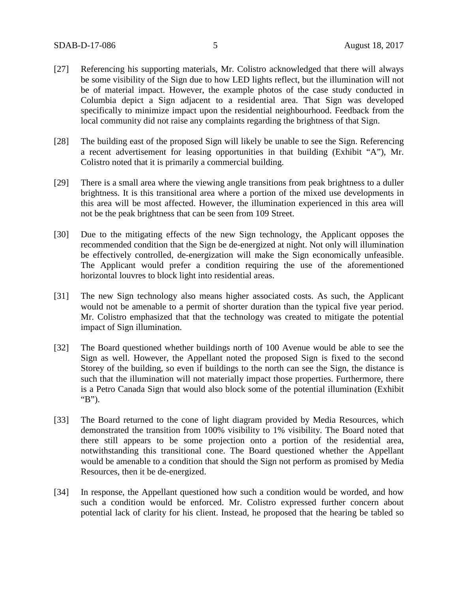- [27] Referencing his supporting materials, Mr. Colistro acknowledged that there will always be some visibility of the Sign due to how LED lights reflect, but the illumination will not be of material impact. However, the example photos of the case study conducted in Columbia depict a Sign adjacent to a residential area. That Sign was developed specifically to minimize impact upon the residential neighbourhood. Feedback from the local community did not raise any complaints regarding the brightness of that Sign.
- [28] The building east of the proposed Sign will likely be unable to see the Sign. Referencing a recent advertisement for leasing opportunities in that building (Exhibit "A"), Mr. Colistro noted that it is primarily a commercial building.
- [29] There is a small area where the viewing angle transitions from peak brightness to a duller brightness. It is this transitional area where a portion of the mixed use developments in this area will be most affected. However, the illumination experienced in this area will not be the peak brightness that can be seen from 109 Street.
- [30] Due to the mitigating effects of the new Sign technology, the Applicant opposes the recommended condition that the Sign be de-energized at night. Not only will illumination be effectively controlled, de-energization will make the Sign economically unfeasible. The Applicant would prefer a condition requiring the use of the aforementioned horizontal louvres to block light into residential areas.
- [31] The new Sign technology also means higher associated costs. As such, the Applicant would not be amenable to a permit of shorter duration than the typical five year period. Mr. Colistro emphasized that that the technology was created to mitigate the potential impact of Sign illumination.
- [32] The Board questioned whether buildings north of 100 Avenue would be able to see the Sign as well. However, the Appellant noted the proposed Sign is fixed to the second Storey of the building, so even if buildings to the north can see the Sign, the distance is such that the illumination will not materially impact those properties. Furthermore, there is a Petro Canada Sign that would also block some of the potential illumination (Exhibit "B").
- [33] The Board returned to the cone of light diagram provided by Media Resources, which demonstrated the transition from 100% visibility to 1% visibility. The Board noted that there still appears to be some projection onto a portion of the residential area, notwithstanding this transitional cone. The Board questioned whether the Appellant would be amenable to a condition that should the Sign not perform as promised by Media Resources, then it be de-energized.
- [34] In response, the Appellant questioned how such a condition would be worded, and how such a condition would be enforced. Mr. Colistro expressed further concern about potential lack of clarity for his client. Instead, he proposed that the hearing be tabled so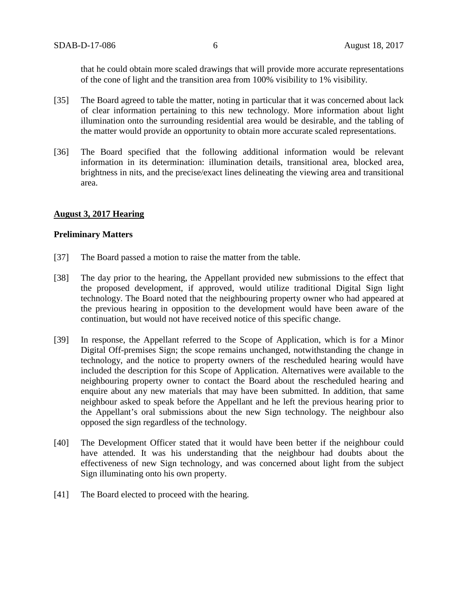that he could obtain more scaled drawings that will provide more accurate representations of the cone of light and the transition area from 100% visibility to 1% visibility.

- [35] The Board agreed to table the matter, noting in particular that it was concerned about lack of clear information pertaining to this new technology. More information about light illumination onto the surrounding residential area would be desirable, and the tabling of the matter would provide an opportunity to obtain more accurate scaled representations.
- [36] The Board specified that the following additional information would be relevant information in its determination: illumination details, transitional area, blocked area, brightness in nits, and the precise/exact lines delineating the viewing area and transitional area.

#### **August 3, 2017 Hearing**

#### **Preliminary Matters**

- [37] The Board passed a motion to raise the matter from the table.
- [38] The day prior to the hearing, the Appellant provided new submissions to the effect that the proposed development, if approved, would utilize traditional Digital Sign light technology. The Board noted that the neighbouring property owner who had appeared at the previous hearing in opposition to the development would have been aware of the continuation, but would not have received notice of this specific change.
- [39] In response, the Appellant referred to the Scope of Application, which is for a Minor Digital Off-premises Sign; the scope remains unchanged, notwithstanding the change in technology, and the notice to property owners of the rescheduled hearing would have included the description for this Scope of Application. Alternatives were available to the neighbouring property owner to contact the Board about the rescheduled hearing and enquire about any new materials that may have been submitted. In addition, that same neighbour asked to speak before the Appellant and he left the previous hearing prior to the Appellant's oral submissions about the new Sign technology. The neighbour also opposed the sign regardless of the technology.
- [40] The Development Officer stated that it would have been better if the neighbour could have attended. It was his understanding that the neighbour had doubts about the effectiveness of new Sign technology, and was concerned about light from the subject Sign illuminating onto his own property.
- [41] The Board elected to proceed with the hearing.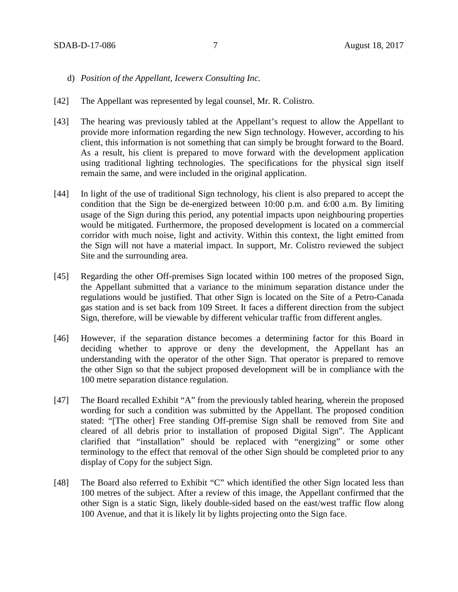- d) *Position of the Appellant, Icewerx Consulting Inc.*
- [42] The Appellant was represented by legal counsel, Mr. R. Colistro.
- [43] The hearing was previously tabled at the Appellant's request to allow the Appellant to provide more information regarding the new Sign technology. However, according to his client, this information is not something that can simply be brought forward to the Board. As a result, his client is prepared to move forward with the development application using traditional lighting technologies. The specifications for the physical sign itself remain the same, and were included in the original application.
- [44] In light of the use of traditional Sign technology, his client is also prepared to accept the condition that the Sign be de-energized between 10:00 p.m. and 6:00 a.m. By limiting usage of the Sign during this period, any potential impacts upon neighbouring properties would be mitigated. Furthermore, the proposed development is located on a commercial corridor with much noise, light and activity. Within this context, the light emitted from the Sign will not have a material impact. In support, Mr. Colistro reviewed the subject Site and the surrounding area.
- [45] Regarding the other Off-premises Sign located within 100 metres of the proposed Sign, the Appellant submitted that a variance to the minimum separation distance under the regulations would be justified. That other Sign is located on the Site of a Petro-Canada gas station and is set back from 109 Street. It faces a different direction from the subject Sign, therefore, will be viewable by different vehicular traffic from different angles.
- [46] However, if the separation distance becomes a determining factor for this Board in deciding whether to approve or deny the development, the Appellant has an understanding with the operator of the other Sign. That operator is prepared to remove the other Sign so that the subject proposed development will be in compliance with the 100 metre separation distance regulation.
- [47] The Board recalled Exhibit "A" from the previously tabled hearing, wherein the proposed wording for such a condition was submitted by the Appellant. The proposed condition stated: "[The other] Free standing Off-premise Sign shall be removed from Site and cleared of all debris prior to installation of proposed Digital Sign". The Applicant clarified that "installation" should be replaced with "energizing" or some other terminology to the effect that removal of the other Sign should be completed prior to any display of Copy for the subject Sign.
- [48] The Board also referred to Exhibit "C" which identified the other Sign located less than 100 metres of the subject. After a review of this image, the Appellant confirmed that the other Sign is a static Sign, likely double-sided based on the east/west traffic flow along 100 Avenue, and that it is likely lit by lights projecting onto the Sign face.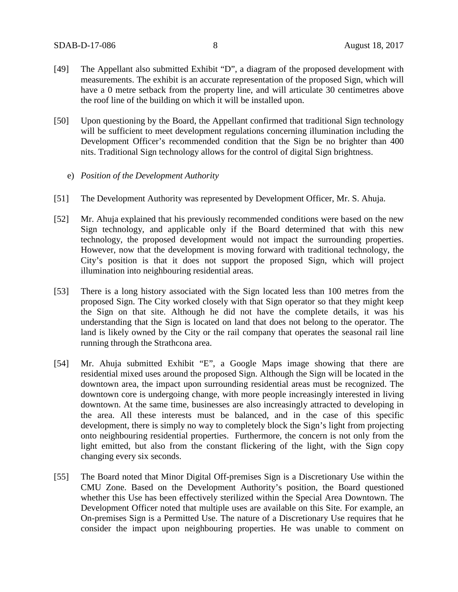- [49] The Appellant also submitted Exhibit "D", a diagram of the proposed development with measurements. The exhibit is an accurate representation of the proposed Sign, which will have a 0 metre setback from the property line, and will articulate 30 centimetres above the roof line of the building on which it will be installed upon.
- [50] Upon questioning by the Board, the Appellant confirmed that traditional Sign technology will be sufficient to meet development regulations concerning illumination including the Development Officer's recommended condition that the Sign be no brighter than 400 nits. Traditional Sign technology allows for the control of digital Sign brightness.
	- e) *Position of the Development Authority*
- [51] The Development Authority was represented by Development Officer, Mr. S. Ahuja.
- [52] Mr. Ahuja explained that his previously recommended conditions were based on the new Sign technology, and applicable only if the Board determined that with this new technology, the proposed development would not impact the surrounding properties. However, now that the development is moving forward with traditional technology, the City's position is that it does not support the proposed Sign, which will project illumination into neighbouring residential areas.
- [53] There is a long history associated with the Sign located less than 100 metres from the proposed Sign. The City worked closely with that Sign operator so that they might keep the Sign on that site. Although he did not have the complete details, it was his understanding that the Sign is located on land that does not belong to the operator. The land is likely owned by the City or the rail company that operates the seasonal rail line running through the Strathcona area.
- [54] Mr. Ahuja submitted Exhibit "E", a Google Maps image showing that there are residential mixed uses around the proposed Sign. Although the Sign will be located in the downtown area, the impact upon surrounding residential areas must be recognized. The downtown core is undergoing change, with more people increasingly interested in living downtown. At the same time, businesses are also increasingly attracted to developing in the area. All these interests must be balanced, and in the case of this specific development, there is simply no way to completely block the Sign's light from projecting onto neighbouring residential properties. Furthermore, the concern is not only from the light emitted, but also from the constant flickering of the light, with the Sign copy changing every six seconds.
- [55] The Board noted that Minor Digital Off-premises Sign is a Discretionary Use within the CMU Zone. Based on the Development Authority's position, the Board questioned whether this Use has been effectively sterilized within the Special Area Downtown. The Development Officer noted that multiple uses are available on this Site. For example, an On-premises Sign is a Permitted Use. The nature of a Discretionary Use requires that he consider the impact upon neighbouring properties. He was unable to comment on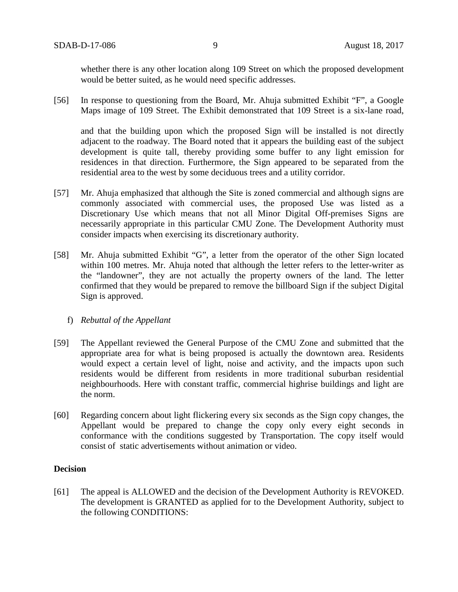whether there is any other location along 109 Street on which the proposed development would be better suited, as he would need specific addresses.

[56] In response to questioning from the Board, Mr. Ahuja submitted Exhibit "F", a Google Maps image of 109 Street. The Exhibit demonstrated that 109 Street is a six-lane road,

and that the building upon which the proposed Sign will be installed is not directly adjacent to the roadway. The Board noted that it appears the building east of the subject development is quite tall, thereby providing some buffer to any light emission for residences in that direction. Furthermore, the Sign appeared to be separated from the residential area to the west by some deciduous trees and a utility corridor.

- [57] Mr. Ahuja emphasized that although the Site is zoned commercial and although signs are commonly associated with commercial uses, the proposed Use was listed as a Discretionary Use which means that not all Minor Digital Off-premises Signs are necessarily appropriate in this particular CMU Zone. The Development Authority must consider impacts when exercising its discretionary authority.
- [58] Mr. Ahuja submitted Exhibit "G", a letter from the operator of the other Sign located within 100 metres. Mr. Ahuja noted that although the letter refers to the letter-writer as the "landowner", they are not actually the property owners of the land. The letter confirmed that they would be prepared to remove the billboard Sign if the subject Digital Sign is approved.

# f) *Rebuttal of the Appellant*

- [59] The Appellant reviewed the General Purpose of the CMU Zone and submitted that the appropriate area for what is being proposed is actually the downtown area. Residents would expect a certain level of light, noise and activity, and the impacts upon such residents would be different from residents in more traditional suburban residential neighbourhoods. Here with constant traffic, commercial highrise buildings and light are the norm.
- [60] Regarding concern about light flickering every six seconds as the Sign copy changes, the Appellant would be prepared to change the copy only every eight seconds in conformance with the conditions suggested by Transportation. The copy itself would consist of static advertisements without animation or video.

# **Decision**

[61] The appeal is ALLOWED and the decision of the Development Authority is REVOKED. The development is GRANTED as applied for to the Development Authority, subject to the following CONDITIONS: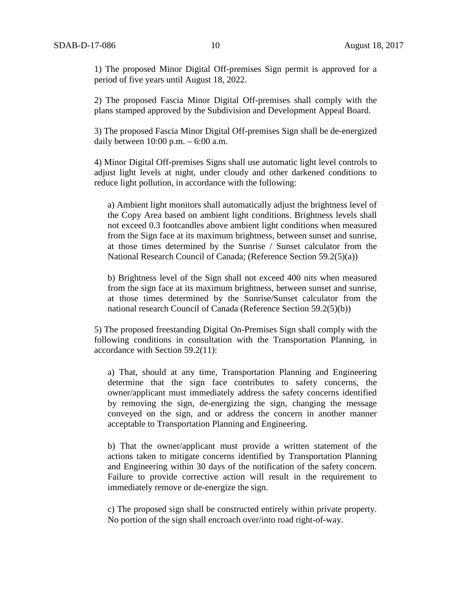1) The proposed Minor Digital Off-premises Sign permit is approved for a period of five years until August 18, 2022.

2) The proposed Fascia Minor Digital Off-premises shall comply with the plans stamped approved by the Subdivision and Development Appeal Board.

3) The proposed Fascia Minor Digital Off-premises Sign shall be de-energized daily between  $10:00$  p.m.  $-6:00$  a.m.

4) Minor Digital Off-premises Signs shall use automatic light level controls to adjust light levels at night, under cloudy and other darkened conditions to reduce light pollution, in accordance with the following:

a) Ambient light monitors shall automatically adjust the brightness level of the Copy Area based on ambient light conditions. Brightness levels shall not exceed 0.3 footcandles above ambient light conditions when measured from the Sign face at its maximum brightness, between sunset and sunrise, at those times determined by the Sunrise / Sunset calculator from the National Research Council of Canada; (Reference Section 59.2(5)(a))

b) Brightness level of the Sign shall not exceed 400 nits when measured from the sign face at its maximum brightness, between sunset and sunrise, at those times determined by the Sunrise/Sunset calculator from the national research Council of Canada (Reference Section 59.2(5)(b))

5) The proposed freestanding Digital On-Premises Sign shall comply with the following conditions in consultation with the Transportation Planning, in accordance with Section 59.2(11):

a) That, should at any time, Transportation Planning and Engineering determine that the sign face contributes to safety concerns, the owner/applicant must immediately address the safety concerns identified by removing the sign, de-energizing the sign, changing the message conveyed on the sign, and or address the concern in another manner acceptable to Transportation Planning and Engineering.

b) That the owner/applicant must provide a written statement of the actions taken to mitigate concerns identified by Transportation Planning and Engineering within 30 days of the notification of the safety concern. Failure to provide corrective action will result in the requirement to immediately remove or de-energize the sign.

c) The proposed sign shall be constructed entirely within private property. No portion of the sign shall encroach over/into road right-of-way.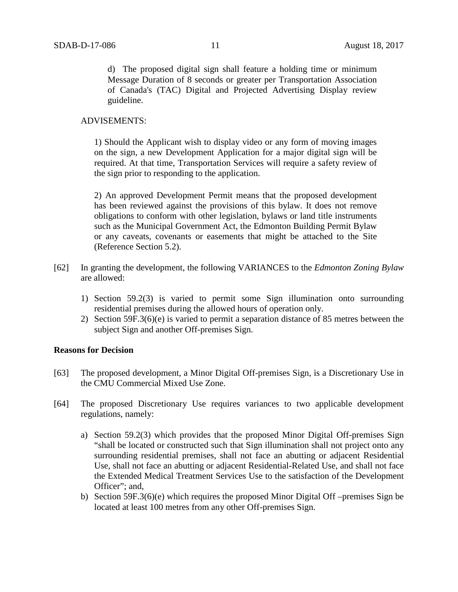d) The proposed digital sign shall feature a holding time or minimum Message Duration of 8 seconds or greater per Transportation Association of Canada's (TAC) Digital and Projected Advertising Display review guideline.

### ADVISEMENTS:

1) Should the Applicant wish to display video or any form of moving images on the sign, a new Development Application for a major digital sign will be required. At that time, Transportation Services will require a safety review of the sign prior to responding to the application.

2) An approved Development Permit means that the proposed development has been reviewed against the provisions of this bylaw. It does not remove obligations to conform with other legislation, bylaws or land title instruments such as the Municipal Government Act, the Edmonton Building Permit Bylaw or any caveats, covenants or easements that might be attached to the Site (Reference Section 5.2).

- [62] In granting the development, the following VARIANCES to the *Edmonton Zoning Bylaw* are allowed:
	- 1) Section 59.2(3) is varied to permit some Sign illumination onto surrounding residential premises during the allowed hours of operation only.
	- 2) Section 59F.3(6)(e) is varied to permit a separation distance of 85 metres between the subject Sign and another Off-premises Sign.

# **Reasons for Decision**

- [63] The proposed development, a Minor Digital Off-premises Sign, is a Discretionary Use in the CMU Commercial Mixed Use Zone.
- [64] The proposed Discretionary Use requires variances to two applicable development regulations, namely:
	- a) Section 59.2(3) which provides that the proposed Minor Digital Off-premises Sign "shall be located or constructed such that Sign illumination shall not project onto any surrounding residential premises, shall not face an abutting or adjacent Residential Use, shall not face an abutting or adjacent Residential-Related Use, and shall not face the Extended Medical Treatment Services Use to the satisfaction of the Development Officer": and.
	- b) Section 59F.3(6)(e) which requires the proposed Minor Digital Off –premises Sign be located at least 100 metres from any other Off-premises Sign.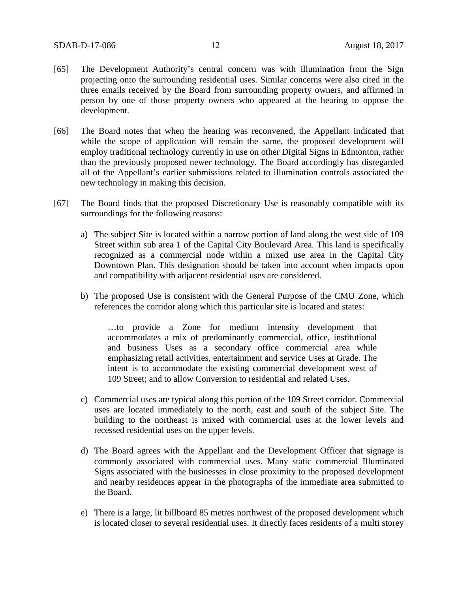- [65] The Development Authority's central concern was with illumination from the Sign projecting onto the surrounding residential uses. Similar concerns were also cited in the three emails received by the Board from surrounding property owners, and affirmed in person by one of those property owners who appeared at the hearing to oppose the development.
- [66] The Board notes that when the hearing was reconvened, the Appellant indicated that while the scope of application will remain the same, the proposed development will employ traditional technology currently in use on other Digital Signs in Edmonton, rather than the previously proposed newer technology. The Board accordingly has disregarded all of the Appellant's earlier submissions related to illumination controls associated the new technology in making this decision.
- [67] The Board finds that the proposed Discretionary Use is reasonably compatible with its surroundings for the following reasons:
	- a) The subject Site is located within a narrow portion of land along the west side of 109 Street within sub area 1 of the Capital City Boulevard Area. This land is specifically recognized as a commercial node within a mixed use area in the Capital City Downtown Plan. This designation should be taken into account when impacts upon and compatibility with adjacent residential uses are considered.
	- b) The proposed Use is consistent with the General Purpose of the CMU Zone, which references the corridor along which this particular site is located and states:

…to provide a Zone for medium intensity development that accommodates a mix of predominantly commercial, office, institutional and business Uses as a secondary office commercial area while emphasizing retail activities, entertainment and service Uses at Grade. The intent is to accommodate the existing commercial development west of 109 Street; and to allow Conversion to residential and related Uses.

- c) Commercial uses are typical along this portion of the 109 Street corridor. Commercial uses are located immediately to the north, east and south of the subject Site. The building to the northeast is mixed with commercial uses at the lower levels and recessed residential uses on the upper levels.
- d) The Board agrees with the Appellant and the Development Officer that signage is commonly associated with commercial uses. Many static commercial Illuminated Signs associated with the businesses in close proximity to the proposed development and nearby residences appear in the photographs of the immediate area submitted to the Board.
- e) There is a large, lit billboard 85 metres northwest of the proposed development which is located closer to several residential uses. It directly faces residents of a multi storey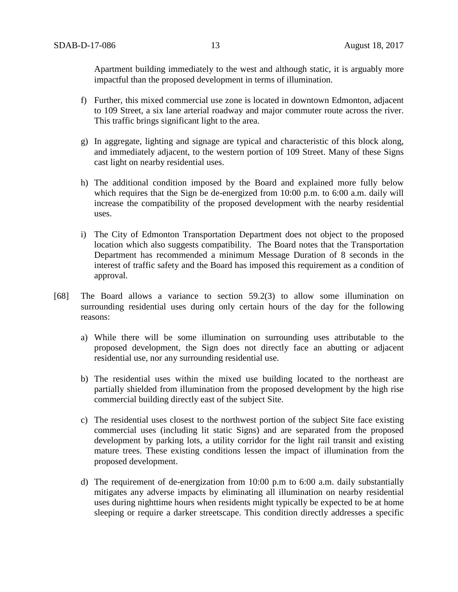Apartment building immediately to the west and although static, it is arguably more impactful than the proposed development in terms of illumination.

- f) Further, this mixed commercial use zone is located in downtown Edmonton, adjacent to 109 Street, a six lane arterial roadway and major commuter route across the river. This traffic brings significant light to the area.
- g) In aggregate, lighting and signage are typical and characteristic of this block along, and immediately adjacent, to the western portion of 109 Street. Many of these Signs cast light on nearby residential uses.
- h) The additional condition imposed by the Board and explained more fully below which requires that the Sign be de-energized from 10:00 p.m. to 6:00 a.m. daily will increase the compatibility of the proposed development with the nearby residential uses.
- i) The City of Edmonton Transportation Department does not object to the proposed location which also suggests compatibility. The Board notes that the Transportation Department has recommended a minimum Message Duration of 8 seconds in the interest of traffic safety and the Board has imposed this requirement as a condition of approval.
- [68] The Board allows a variance to section 59.2(3) to allow some illumination on surrounding residential uses during only certain hours of the day for the following reasons:
	- a) While there will be some illumination on surrounding uses attributable to the proposed development, the Sign does not directly face an abutting or adjacent residential use, nor any surrounding residential use.
	- b) The residential uses within the mixed use building located to the northeast are partially shielded from illumination from the proposed development by the high rise commercial building directly east of the subject Site.
	- c) The residential uses closest to the northwest portion of the subject Site face existing commercial uses (including lit static Signs) and are separated from the proposed development by parking lots, a utility corridor for the light rail transit and existing mature trees. These existing conditions lessen the impact of illumination from the proposed development.
	- d) The requirement of de-energization from 10:00 p.m to 6:00 a.m. daily substantially mitigates any adverse impacts by eliminating all illumination on nearby residential uses during nighttime hours when residents might typically be expected to be at home sleeping or require a darker streetscape. This condition directly addresses a specific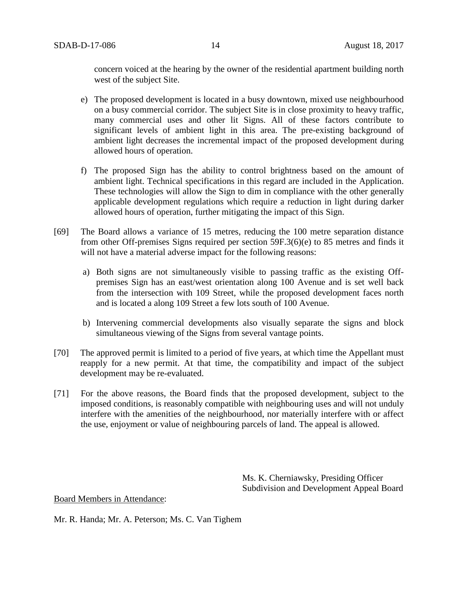concern voiced at the hearing by the owner of the residential apartment building north west of the subject Site.

- e) The proposed development is located in a busy downtown, mixed use neighbourhood on a busy commercial corridor. The subject Site is in close proximity to heavy traffic, many commercial uses and other lit Signs. All of these factors contribute to significant levels of ambient light in this area. The pre-existing background of ambient light decreases the incremental impact of the proposed development during allowed hours of operation.
- f) The proposed Sign has the ability to control brightness based on the amount of ambient light. Technical specifications in this regard are included in the Application. These technologies will allow the Sign to dim in compliance with the other generally applicable development regulations which require a reduction in light during darker allowed hours of operation, further mitigating the impact of this Sign.
- [69] The Board allows a variance of 15 metres, reducing the 100 metre separation distance from other Off-premises Signs required per section 59F.3(6)(e) to 85 metres and finds it will not have a material adverse impact for the following reasons:
	- a) Both signs are not simultaneously visible to passing traffic as the existing Offpremises Sign has an east/west orientation along 100 Avenue and is set well back from the intersection with 109 Street, while the proposed development faces north and is located a along 109 Street a few lots south of 100 Avenue.
	- b) Intervening commercial developments also visually separate the signs and block simultaneous viewing of the Signs from several vantage points.
- [70] The approved permit is limited to a period of five years, at which time the Appellant must reapply for a new permit. At that time, the compatibility and impact of the subject development may be re-evaluated.
- [71] For the above reasons, the Board finds that the proposed development, subject to the imposed conditions, is reasonably compatible with neighbouring uses and will not unduly interfere with the amenities of the neighbourhood, nor materially interfere with or affect the use, enjoyment or value of neighbouring parcels of land. The appeal is allowed.

Ms. K. Cherniawsky, Presiding Officer Subdivision and Development Appeal Board

#### Board Members in Attendance:

Mr. R. Handa; Mr. A. Peterson; Ms. C. Van Tighem